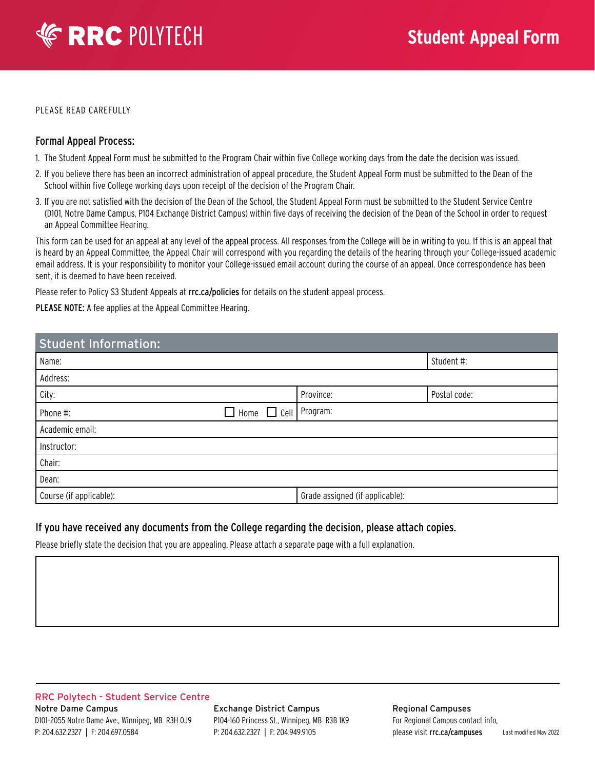# **ERRC POLYTECH**

PLEASE READ CAREFULLY

### Formal Appeal Process:

- 1. The Student Appeal Form must be submitted to the Program Chair within five College working days from the date the decision was issued.
- 2. If you believe there has been an incorrect administration of appeal procedure, the Student Appeal Form must be submitted to the Dean of the School within five College working days upon receipt of the decision of the Program Chair.
- 3. If you are not satisfied with the decision of the Dean of the School, the Student Appeal Form must be submitted to the Student Service Centre (D101, Notre Dame Campus, P104 Exchange District Campus) within five days of receiving the decision of the Dean of the School in order to request an Appeal Committee Hearing.

This form can be used for an appeal at any level of the appeal process. All responses from the College will be in writing to you. If this is an appeal that is heard by an Appeal Committee, the Appeal Chair will correspond with you regarding the details of the hearing through your College-issued academic email address. It is your responsibility to monitor your College-issued email account during the course of an appeal. Once correspondence has been sent, it is deemed to have been received.

Please refer to Policy S3 Student Appeals at rrc.ca/policies for details on the student appeal process.

PLEASE NOTE: A fee applies at the Appeal Committee Hearing.

| <b>Student Information:</b>                    |                                 |              |  |  |
|------------------------------------------------|---------------------------------|--------------|--|--|
| Name:                                          |                                 | Student #:   |  |  |
| Address:                                       |                                 |              |  |  |
| City:                                          | Province:                       | Postal code: |  |  |
| $\Box$ Home $\Box$ Cell   Program:<br>Phone #: |                                 |              |  |  |
| Academic email:                                |                                 |              |  |  |
| Instructor:                                    |                                 |              |  |  |
| Chair:                                         |                                 |              |  |  |
| Dean:                                          |                                 |              |  |  |
| Course (if applicable):                        | Grade assigned (if applicable): |              |  |  |

## If you have received any documents from the College regarding the decision, please attach copies.

Please briefly state the decision that you are appealing. Please attach a separate page with a full explanation.

RRC Polytech - Student Service Centre Notre Dame Campus D101–2055 Notre Dame Ave., Winnipeg, MB R3H 0J9 P: 204.632.2327 | F: 204.697.0584

Exchange District Campus P104-160 Princess St., Winnipeg, MB R3B 1K9 P: 204.632.2327 | F: 204.949.9105

Regional Campuses For Regional Campus contact info, please visit rrc.ca/campuses Last modified May 2022